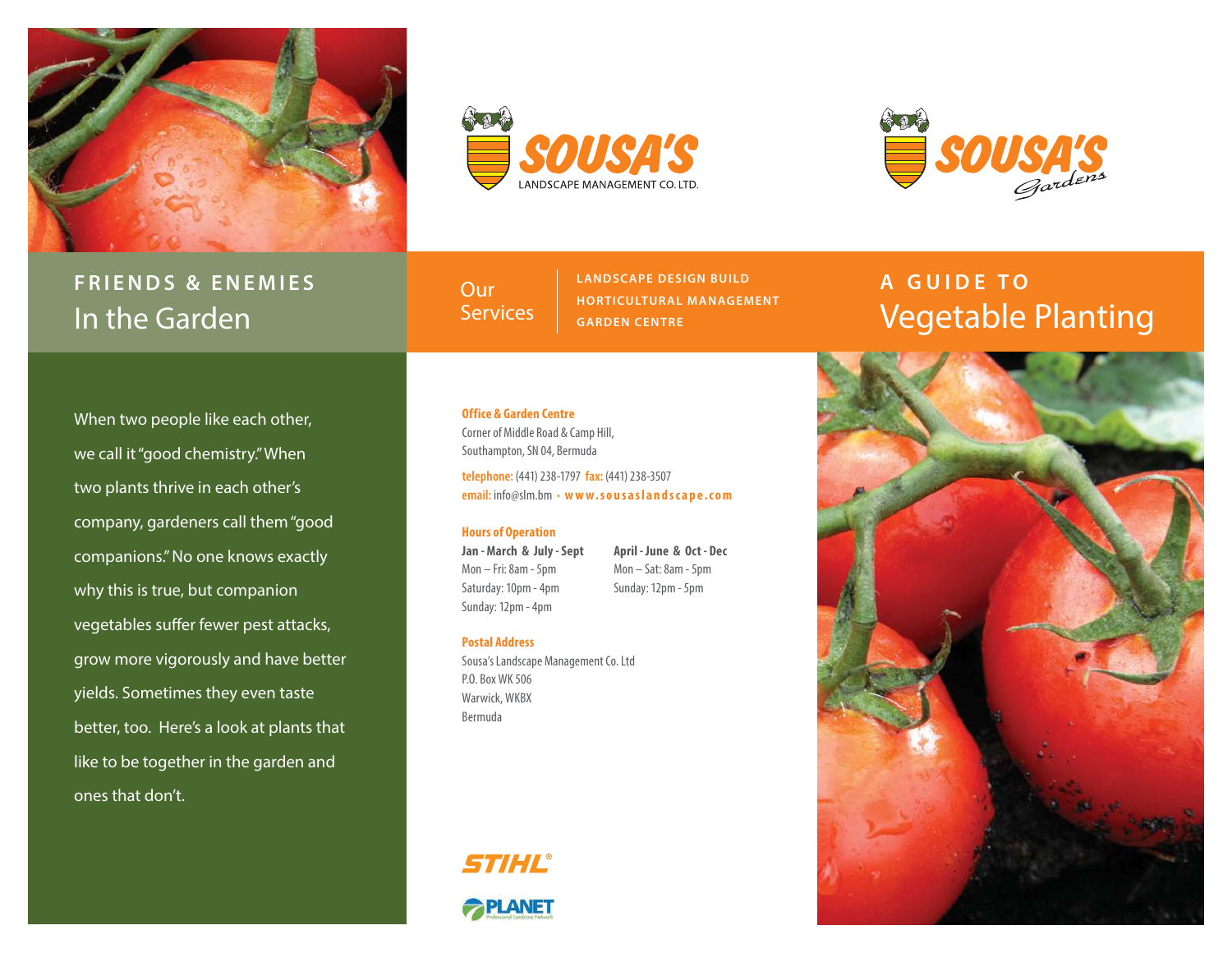

# **FRIENDS & ENEMIES** In the Garden

SOUSTS **LANDSCAPE MANAGEMENT CO. LTD** 



**Our Services**  **LANDSCAPE DESIGN BUILD HORTICULTUR AL MANAGEMENT GARDEN CENTRE**

# **A GUIDE TO**  Vegetable Planting

When two people like each other, we call it "good chemistry." When two plants thrive in each other's company, gardeners call them "good companions." No one knows exactly why this is true, but companion vegetables suffer fewer pest attacks, grow more vigorously and have better yields. Sometimes they even taste better, too. Here's a look at plants that like to be together in the garden and ones that don't.

#### **Office & Garden Centre** Corner of Middle Road & Camp Hill,

Southampton, SN 04, Bermuda

**telephone:** (441) 238-1797 **fax:** (441) 238-3507 **email:** info@slm.bm • **w w w. s o u s a s l a n d s c a p e . c o m** 

## **Hours of Operation**

**Jan - March & July - Sept** Mon – Fri: 8am - 5pm Saturday: 10pm - 4pm Sunday: 12pm - 4pm

**April - June & Oct - Dec** Mon – Sat: 8am - 5pm Sunday: 12pm - 5pm

### **Postal Address**

Sousa's Landscape Management Co. Ltd P.O. Box WK 506 Warwick, WKBX Bermuda